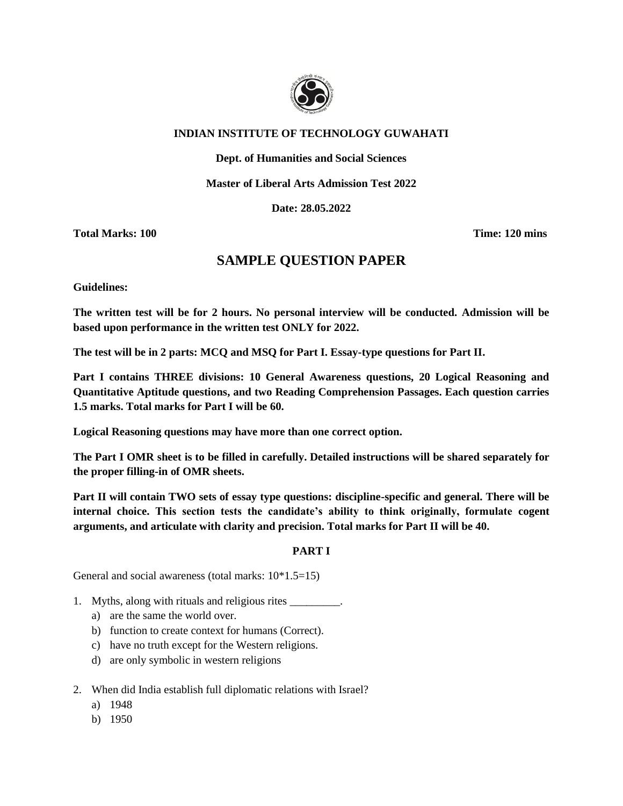

## **INDIAN INSTITUTE OF TECHNOLOGY GUWAHATI**

**Dept. of Humanities and Social Sciences**

**Master of Liberal Arts Admission Test 2022**

**Date: 28.05.2022**

**Total Marks: 100 Time: 120 mins**

# **SAMPLE QUESTION PAPER**

**Guidelines:**

**The written test will be for 2 hours. No personal interview will be conducted. Admission will be based upon performance in the written test ONLY for 2022.**

**The test will be in 2 parts: MCQ and MSQ for Part I. Essay-type questions for Part II.**

**Part I contains THREE divisions: 10 General Awareness questions, 20 Logical Reasoning and Quantitative Aptitude questions, and two Reading Comprehension Passages. Each question carries 1.5 marks. Total marks for Part I will be 60.**

**Logical Reasoning questions may have more than one correct option.**

**The Part I OMR sheet is to be filled in carefully. Detailed instructions will be shared separately for the proper filling-in of OMR sheets.**

**Part II will contain TWO sets of essay type questions: discipline-specific and general. There will be internal choice. This section tests the candidate's ability to think originally, formulate cogent arguments, and articulate with clarity and precision. Total marks for Part II will be 40.**

### **PART I**

General and social awareness (total marks: 10\*1.5=15)

- 1. Myths, along with rituals and religious rites \_\_\_\_\_\_\_\_\_.
	- a) are the same the world over.
	- b) function to create context for humans (Correct).
	- c) have no truth except for the Western religions.
	- d) are only symbolic in western religions
- 2. When did India establish full diplomatic relations with Israel?
	- a) 1948
	- b) 1950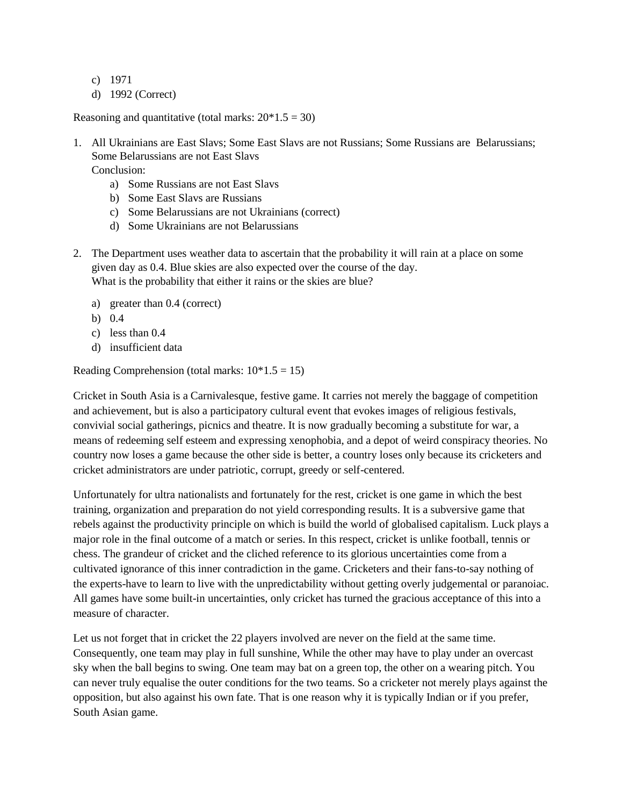- c) 1971
- d) 1992 (Correct)

Reasoning and quantitative (total marks:  $20*1.5 = 30$ )

- 1. All Ukrainians are East Slavs; Some East Slavs are not Russians; Some Russians are Belarussians; Some Belarussians are not East Slavs Conclusion:
	- a) Some Russians are not East Slavs
	- b) Some East Slavs are Russians
	- c) Some Belarussians are not Ukrainians (correct)
	- d) Some Ukrainians are not Belarussians
- 2. The Department uses weather data to ascertain that the probability it will rain at a place on some given day as 0.4. Blue skies are also expected over the course of the day. What is the probability that either it rains or the skies are blue?
	- a) greater than 0.4 (correct)
	- b) 0.4
	- c) less than 0.4
	- d) insufficient data

Reading Comprehension (total marks:  $10*1.5 = 15$ )

Cricket in South Asia is a Carnivalesque, festive game. It carries not merely the baggage of competition and achievement, but is also a participatory cultural event that evokes images of religious festivals, convivial social gatherings, picnics and theatre. It is now gradually becoming a substitute for war, a means of redeeming self esteem and expressing xenophobia, and a depot of weird conspiracy theories. No country now loses a game because the other side is better, a country loses only because its cricketers and cricket administrators are under patriotic, corrupt, greedy or self-centered.

Unfortunately for ultra nationalists and fortunately for the rest, cricket is one game in which the best training, organization and preparation do not yield corresponding results. It is a subversive game that rebels against the productivity principle on which is build the world of globalised capitalism. Luck plays a major role in the final outcome of a match or series. In this respect, cricket is unlike football, tennis or chess. The grandeur of cricket and the cliched reference to its glorious uncertainties come from a cultivated ignorance of this inner contradiction in the game. Cricketers and their fans-to-say nothing of the experts-have to learn to live with the unpredictability without getting overly judgemental or paranoiac. All games have some built-in uncertainties, only cricket has turned the gracious acceptance of this into a measure of character.

Let us not forget that in cricket the 22 players involved are never on the field at the same time. Consequently, one team may play in full sunshine, While the other may have to play under an overcast sky when the ball begins to swing. One team may bat on a green top, the other on a wearing pitch. You can never truly equalise the outer conditions for the two teams. So a cricketer not merely plays against the opposition, but also against his own fate. That is one reason why it is typically Indian or if you prefer, South Asian game.